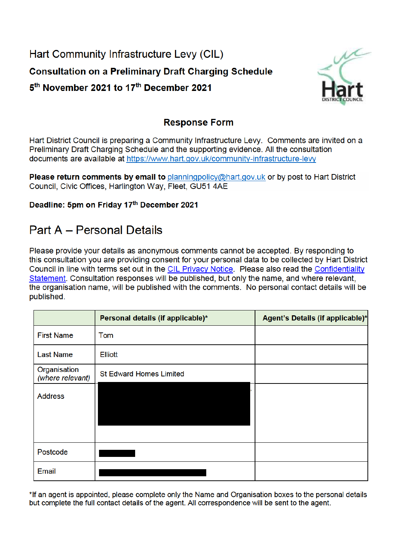Hart Community Infrastructure Levy (CIL) **Consultation on a Preliminary Draft Charging Schedule** 5<sup>th</sup> November 2021 to 17<sup>th</sup> December 2021



## **Response Form**

Hart District Council is preparing a Community Infrastructure Levy. Comments are invited on a Preliminary Draft Charging Schedule and the supporting evidence. All the consultation documents are available at https://www.hart.gov.uk/community-infrastructure-levy

Please return comments by email to planningpolicy@hart.gov.uk or by post to Hart District Council, Civic Offices, Harlington Way, Fleet, GU51 4AE

### Deadline: 5pm on Friday 17th December 2021

# **Part A - Personal Details**

Please provide your details as anonymous comments cannot be accepted. By responding to this consultation you are providing consent for your personal data to be collected by Hart District Council in line with terms set out in the CIL Privacy Notice. Please also read the Confidentiality Statement. Consultation responses will be published, but only the name, and where relevant, the organisation name, will be published with the comments. No personal contact details will be published.

|                                  | Personal details (if applicable)* | Agent's Details (if applicable)* |
|----------------------------------|-----------------------------------|----------------------------------|
| <b>First Name</b>                | Tom                               |                                  |
| <b>Last Name</b>                 | <b>Elliott</b>                    |                                  |
| Organisation<br>(where relevant) | <b>St Edward Homes Limited</b>    |                                  |
| <b>Address</b>                   |                                   |                                  |
| Postcode                         |                                   |                                  |
| Email                            |                                   |                                  |

\*If an agent is appointed, please complete only the Name and Organisation boxes to the personal details but complete the full contact details of the agent. All correspondence will be sent to the agent.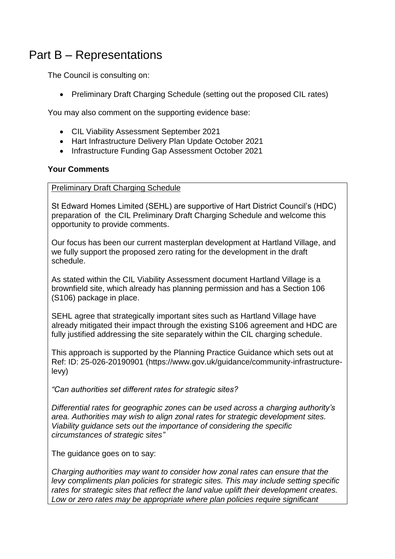# Part B – Representations

The Council is consulting on:

• Preliminary Draft Charging Schedule (setting out the proposed CIL rates)

You may also comment on the supporting evidence base:

- CIL Viability Assessment September 2021
- Hart Infrastructure Delivery Plan Update October 2021
- Infrastructure Funding Gap Assessment October 2021

#### **Your Comments**

Preliminary Draft Charging Schedule

St Edward Homes Limited (SEHL) are supportive of Hart District Council's (HDC) preparation of the CIL Preliminary Draft Charging Schedule and welcome this opportunity to provide comments.

Our focus has been our current masterplan development at Hartland Village, and we fully support the proposed zero rating for the development in the draft schedule.

As stated within the CIL Viability Assessment document Hartland Village is a brownfield site, which already has planning permission and has a Section 106 (S106) package in place.

SEHL agree that strategically important sites such as Hartland Village have already mitigated their impact through the existing S106 agreement and HDC are fully justified addressing the site separately within the CIL charging schedule.

This approach is supported by the Planning Practice Guidance which sets out at Ref: ID: 25-026-20190901 (https://www.gov.uk/guidance/community-infrastructurelevy)

*"Can authorities set different rates for strategic sites?*

*Differential rates for geographic zones can be used across a charging authority's area. Authorities may wish to align zonal rates for strategic development sites. Viability guidance sets out the importance of considering the specific circumstances of strategic sites"*

The guidance goes on to say:

*Charging authorities may want to consider how zonal rates can ensure that the levy compliments plan policies for strategic sites. This may include setting specific rates for strategic sites that reflect the land value uplift their development creates. Low or zero rates may be appropriate where plan policies require significant*